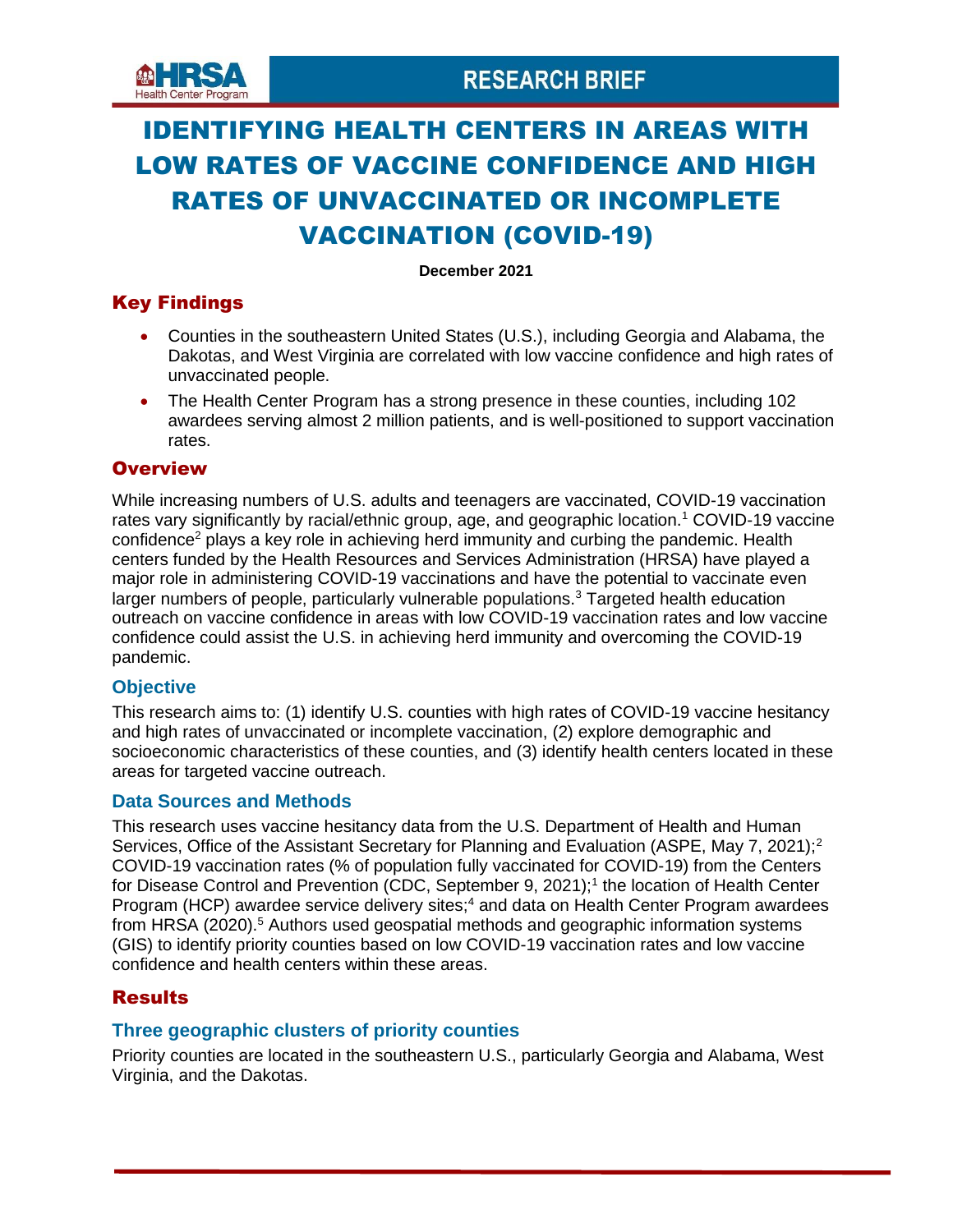

# IDENTIFYING HEALTH CENTERS IN AREAS WITH LOW RATES OF VACCINE CONFIDENCE AND HIGH RATES OF UNVACCINATED OR INCOMPLETE VACCINATION (COVID-19)

**December 2021**

### Key Findings

- Counties in the southeastern United States (U.S.), including Georgia and Alabama, the Dakotas, and West Virginia are correlated with low vaccine confidence and high rates of unvaccinated people.
- The Health Center Program has a strong presence in these counties, including 102 awardees serving almost 2 million patients, and is well-positioned to support vaccination rates.

### **Overview**

While increasing numbers of U.S. adults and teenagers are vaccinated, COVID-19 vaccination rates vary significantly by racial/ethnic group, age, and geographic location.<sup>1</sup> COVID-19 vaccine confidence<sup>2</sup> plays a key role in achieving herd immunity and curbing the pandemic. Health centers funded by the Health Resources and Services Administration (HRSA) have played a major role in administering COVID-19 vaccinations and have the potential to vaccinate even larger numbers of people, particularly vulnerable populations.<sup>3</sup> Targeted health education outreach on vaccine confidence in areas with low COVID-19 vaccination rates and low vaccine confidence could assist the U.S. in achieving herd immunity and overcoming the COVID-19 pandemic.

### **Objective**

This research aims to: (1) identify U.S. counties with high rates of COVID-19 vaccine hesitancy and high rates of unvaccinated or incomplete vaccination, (2) explore demographic and socioeconomic characteristics of these counties, and (3) identify health centers located in these areas for targeted vaccine outreach.

### **Data Sources and Methods**

This research uses vaccine hesitancy data from the U.S. Department of Health and Human Services, Office of the Assistant Secretary for Planning and Evaluation (ASPE, May 7, 2021);<sup>2</sup> COVID-19 vaccination rates (% of population fully vaccinated for COVID-19) from the Centers for Disease Control and Prevention (CDC, September 9, 2021);<sup>1</sup> the location of Health Center Program (HCP) awardee service delivery sites;<sup>4</sup> and data on Health Center Program awardees from HRSA (2020).<sup>5</sup> Authors used geospatial methods and geographic information systems (GIS) to identify priority counties based on low COVID-19 vaccination rates and low vaccine confidence and health centers within these areas.

### **Results**

### **Three geographic clusters of priority counties**

Priority counties are located in the southeastern U.S., particularly Georgia and Alabama, West Virginia, and the Dakotas.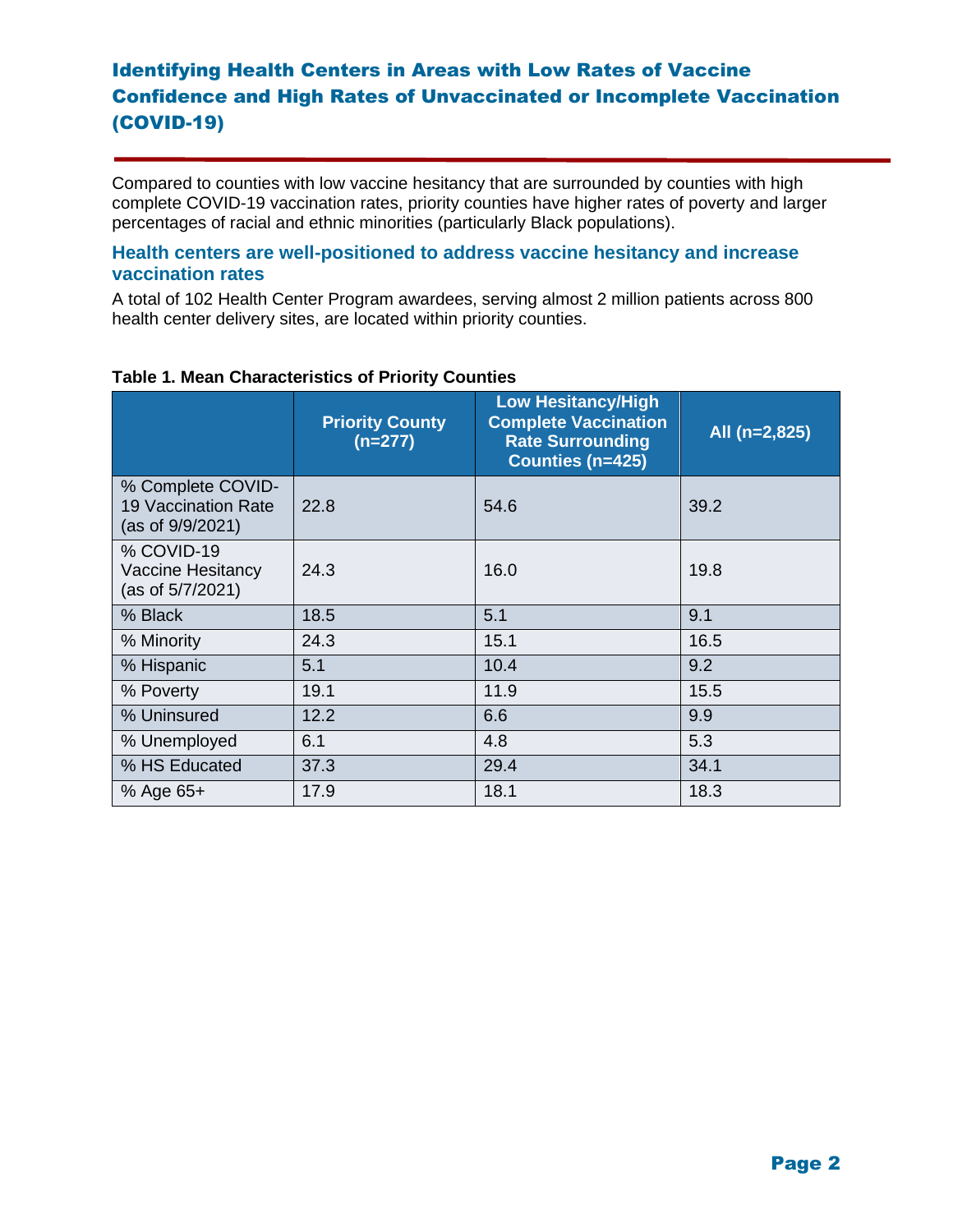Compared to counties with low vaccine hesitancy that are surrounded by counties with high complete COVID-19 vaccination rates, priority counties have higher rates of poverty and larger percentages of racial and ethnic minorities (particularly Black populations).

### **Health centers are well-positioned to address vaccine hesitancy and increase vaccination rates**

A total of 102 Health Center Program awardees, serving almost 2 million patients across 800 health center delivery sites, are located within priority counties.

|                                                                     | <b>Priority County</b><br>$(n=277)$ | <b>Low Hesitancy/High</b><br><b>Complete Vaccination</b><br><b>Rate Surrounding</b><br>Counties (n=425) | All (n=2,825) |
|---------------------------------------------------------------------|-------------------------------------|---------------------------------------------------------------------------------------------------------|---------------|
| % Complete COVID-<br><b>19 Vaccination Rate</b><br>(as of 9/9/2021) | 22.8                                | 54.6                                                                                                    | 39.2          |
| % COVID-19<br>Vaccine Hesitancy<br>(as of 5/7/2021)                 | 24.3                                | 16.0                                                                                                    | 19.8          |
| % Black                                                             | 18.5                                | 5.1                                                                                                     | 9.1           |
| % Minority                                                          | 24.3                                | 15.1                                                                                                    | 16.5          |
| % Hispanic                                                          | 5.1                                 | 10.4                                                                                                    | 9.2           |
| % Poverty                                                           | 19.1                                | 11.9                                                                                                    | 15.5          |
| % Uninsured                                                         | 12.2                                | 6.6                                                                                                     | 9.9           |
| % Unemployed                                                        | 6.1                                 | 4.8                                                                                                     | 5.3           |
| % HS Educated                                                       | 37.3                                | 29.4                                                                                                    | 34.1          |
| % Age $65+$                                                         | 17.9                                | 18.1                                                                                                    | 18.3          |

### **Table 1. Mean Characteristics of Priority Counties**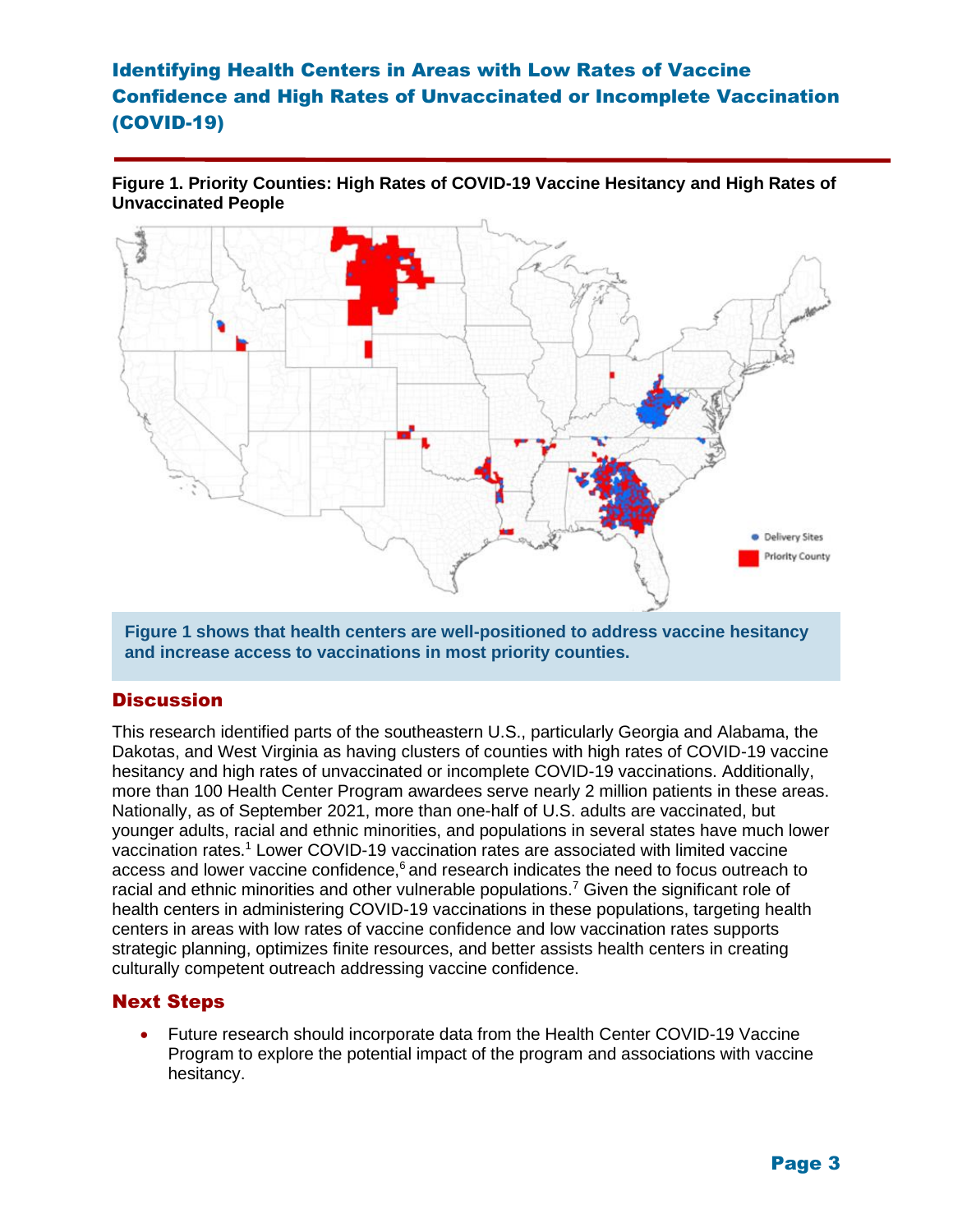**Figure 1. Priority Counties: High Rates of COVID-19 Vaccine Hesitancy and High Rates of Unvaccinated People**



**Figure 1 shows that health centers are well-positioned to address vaccine hesitancy and increase access to vaccinations in most priority counties.**

### **Discussion**

This research identified parts of the southeastern U.S., particularly Georgia and Alabama, the Dakotas, and West Virginia as having clusters of counties with high rates of COVID-19 vaccine hesitancy and high rates of unvaccinated or incomplete COVID-19 vaccinations. Additionally, more than 100 Health Center Program awardees serve nearly 2 million patients in these areas. Nationally, as of September 2021, more than one-half of U.S. adults are vaccinated, but younger adults, racial and ethnic minorities, and populations in several states have much lower vaccination rates.<sup>1</sup> Lower COVID-19 vaccination rates are associated with limited vaccine access and lower vaccine confidence, $6$  and research indicates the need to focus outreach to racial and ethnic minorities and other vulnerable populations.<sup>7</sup> Given the significant role of health centers in administering COVID-19 vaccinations in these populations, targeting health centers in areas with low rates of vaccine confidence and low vaccination rates supports strategic planning, optimizes finite resources, and better assists health centers in creating culturally competent outreach addressing vaccine confidence.

### Next Steps

• Future research should incorporate data from the Health Center COVID-19 Vaccine Program to explore the potential impact of the program and associations with vaccine hesitancy.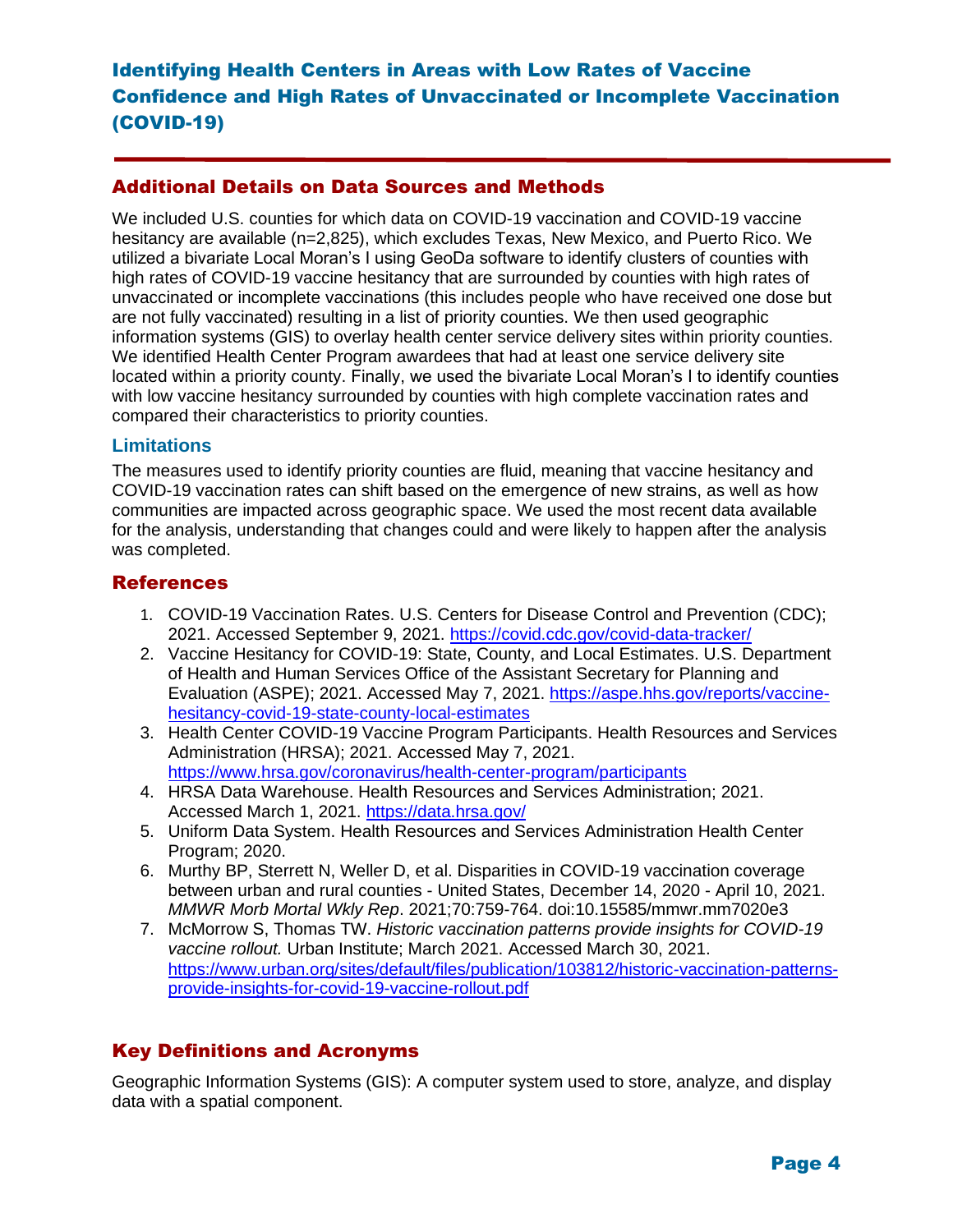### Additional Details on Data Sources and Methods

We included U.S. counties for which data on COVID-19 vaccination and COVID-19 vaccine hesitancy are available (n=2,825), which excludes Texas, New Mexico, and Puerto Rico. We utilized a bivariate Local Moran's I using GeoDa software to identify clusters of counties with high rates of COVID-19 vaccine hesitancy that are surrounded by counties with high rates of unvaccinated or incomplete vaccinations (this includes people who have received one dose but are not fully vaccinated) resulting in a list of priority counties. We then used geographic information systems (GIS) to overlay health center service delivery sites within priority counties. We identified Health Center Program awardees that had at least one service delivery site located within a priority county. Finally, we used the bivariate Local Moran's I to identify counties with low vaccine hesitancy surrounded by counties with high complete vaccination rates and compared their characteristics to priority counties.

### **Limitations**

The measures used to identify priority counties are fluid, meaning that vaccine hesitancy and COVID-19 vaccination rates can shift based on the emergence of new strains, as well as how communities are impacted across geographic space. We used the most recent data available for the analysis, understanding that changes could and were likely to happen after the analysis was completed.

### **References**

- 1. COVID-19 Vaccination Rates. U.S. Centers for Disease Control and Prevention (CDC); 2021. Accessed September 9, 2021.<https://covid.cdc.gov/covid-data-tracker/>
- 2. Vaccine Hesitancy for COVID-19: State, County, and Local Estimates. U.S. Department of Health and Human Services Office of the Assistant Secretary for Planning and Evaluation (ASPE); 2021. Accessed May 7, 2021. https://aspe.hhs.gov/reports/vaccinehesitancy-covid-19-state-county-local-estimates
- 3. Health Center COVID-19 Vaccine Program Participants. Health Resources and Services Administration (HRSA); 2021. Accessed May 7, 2021. <https://www.hrsa.gov/coronavirus/health-center-program/participants>
- 4. HRSA Data Warehouse. Health Resources and Services Administration; 2021. Accessed March 1, 2021.<https://data.hrsa.gov/>
- 5. Uniform Data System. Health Resources and Services Administration Health Center Program; 2020.
- 6. Murthy BP, Sterrett N, Weller D, et al. Disparities in COVID-19 vaccination coverage between urban and rural counties - United States, December 14, 2020 - April 10, 2021. *MMWR Morb Mortal Wkly Rep*. 2021;70:759-764. doi:10.15585/mmwr.mm7020e3
- 7. McMorrow S, Thomas TW. *Historic vaccination patterns provide insights for COVID-19 vaccine rollout.* Urban Institute; March 2021. Accessed March 30, 2021. [https://www.urban.org/sites/default/files/publication/103812/historic-vaccination-patterns](https://www.urban.org/sites/default/files/publication/103812/historic-vaccination-patterns-provide-insights-for-covid-19-vaccine-rollout.pdf)[provide-insights-for-covid-19-vaccine-rollout.pdf](https://www.urban.org/sites/default/files/publication/103812/historic-vaccination-patterns-provide-insights-for-covid-19-vaccine-rollout.pdf)

### Key Definitions and Acronyms

Geographic Information Systems (GIS): A computer system used to store, analyze, and display data with a spatial component.